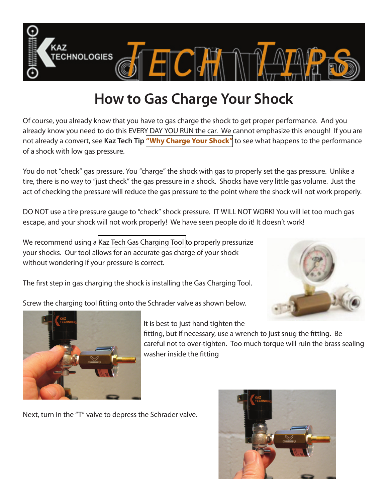

## **How to Gas Charge Your Shock**

Of course, you already know that you have to gas charge the shock to get proper performance. And you already know you need to do this EVERY DAY YOU RUN the car. We cannot emphasize this enough! If you are not already a convert, see **Kaz Tech Tip "Why Charge Your Shock"** to see what happens to the performance of a shock with low gas pressure.

You do not "check" gas pressure. You "charge" the shock with gas to properly set the gas pressure. Unlike a tire, there is no way to "just check" the gas pressure in a shock. Shocks have very little gas volume. Just the act of checking the pressure will reduce the gas pressure to the point where the shock will not work properly.

DO NOT use a tire pressure gauge to "check" shock pressure. IT WILL NOT WORK! You will let too much gas escape, and your shock will not work properly! We have seen people do it! It doesn't work!

We recommend using a [Kaz Tech Gas Charging Tool t](http://www.kaztechnologies.com/store/formula-sae-parts-tools/shock-tools/inflation-tool-with-gauge.html)o properly pressurize your shocks. Our tool allows for an accurate gas charge of your shock without wondering if your pressure is correct.

The first step in gas charging the shock is installing the Gas Charging Tool.

Screw the charging tool fitting onto the Schrader valve as shown below.





It is best to just hand tighten the

fitting, but if necessary, use a wrench to just snug the fitting. Be careful not to over-tighten. Too much torque will ruin the brass sealing washer inside the fitting

Next, turn in the "T" valve to depress the Schrader valve.